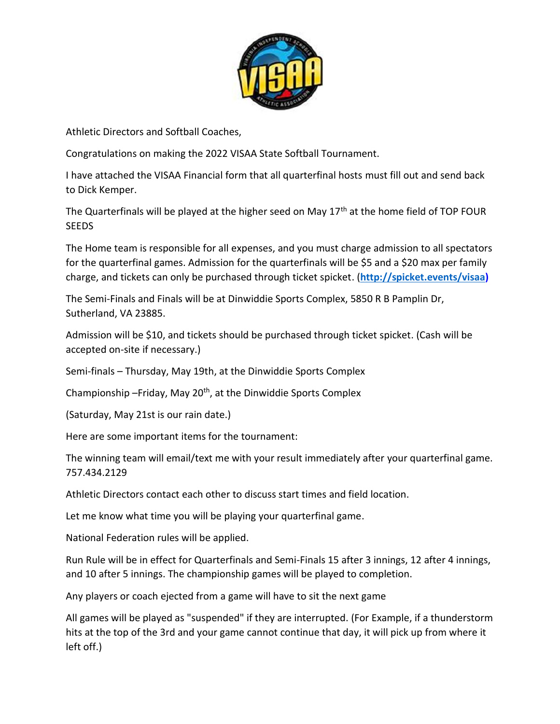

Athletic Directors and Softball Coaches,

Congratulations on making the 2022 VISAA State Softball Tournament.

I have attached the VISAA Financial form that all quarterfinal hosts must fill out and send back to Dick Kemper.

The Quarterfinals will be played at the higher seed on May  $17<sup>th</sup>$  at the home field of TOP FOUR **SEEDS** 

The Home team is responsible for all expenses, and you must charge admission to all spectators for the quarterfinal games. Admission for the quarterfinals will be \$5 and a \$20 max per family charge, and tickets can only be purchased through ticket spicket. (**[http://spicket.events/visaa\)](http://spicket.events/visaa)**

The Semi-Finals and Finals will be at Dinwiddie Sports Complex, 5850 R B Pamplin Dr, Sutherland, VA 23885.

Admission will be \$10, and tickets should be purchased through ticket spicket. (Cash will be accepted on-site if necessary.)

Semi-finals – Thursday, May 19th, at the Dinwiddie Sports Complex

Championship - Friday, May 20<sup>th</sup>, at the Dinwiddie Sports Complex

(Saturday, May 21st is our rain date.)

Here are some important items for the tournament:

The winning team will email/text me with your result immediately after your quarterfinal game. 757.434.2129

Athletic Directors contact each other to discuss start times and field location.

Let me know what time you will be playing your quarterfinal game.

National Federation rules will be applied.

Run Rule will be in effect for Quarterfinals and Semi-Finals 15 after 3 innings, 12 after 4 innings, and 10 after 5 innings. The championship games will be played to completion.

Any players or coach ejected from a game will have to sit the next game

All games will be played as "suspended" if they are interrupted. (For Example, if a thunderstorm hits at the top of the 3rd and your game cannot continue that day, it will pick up from where it left off.)